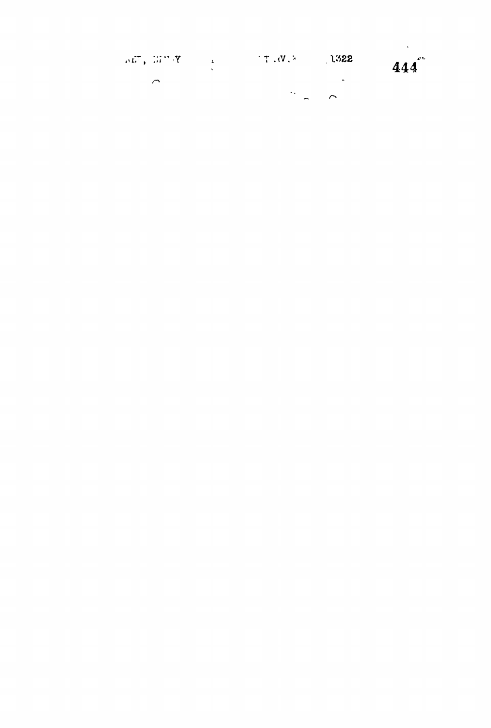| $\mathcal{M}^{\text{max}}$ , $\mathcal{M}^{\text{max}}$ | $\pm$<br>r | $\sim 5000$  | 1.322<br>$\ddot{\phantom{1}}$ | 444 |
|---------------------------------------------------------|------------|--------------|-------------------------------|-----|
|                                                         |            | ÷.<br>$\sim$ | ⌒                             |     |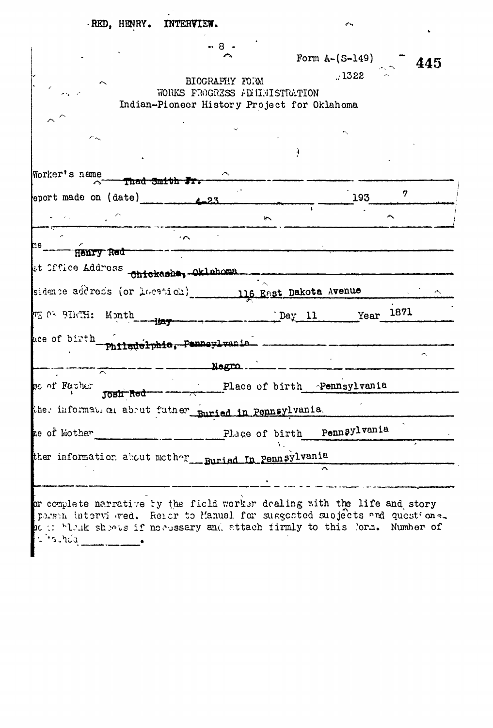RED, HENRY. INTERVIEW.

|                                                                                                                                                                                                                                                                                                                                                     | - 8                                                                                            | Form $A-(S-149)$   | 445                |
|-----------------------------------------------------------------------------------------------------------------------------------------------------------------------------------------------------------------------------------------------------------------------------------------------------------------------------------------------------|------------------------------------------------------------------------------------------------|--------------------|--------------------|
|                                                                                                                                                                                                                                                                                                                                                     | BIOGRAFHY FORM<br>WORKS FROGRESS ADMINISTRATION<br>Indian-Pioneer History Project for Oklahoma | .1322              |                    |
| $\sqrt{2}$                                                                                                                                                                                                                                                                                                                                          |                                                                                                |                    |                    |
| Worker's name<br>Thad Smith 1                                                                                                                                                                                                                                                                                                                       |                                                                                                |                    |                    |
| eport made on (date)                                                                                                                                                                                                                                                                                                                                | $4 - 23$                                                                                       | 7<br>193           |                    |
|                                                                                                                                                                                                                                                                                                                                                     | $\sim$                                                                                         | $\curvearrowright$ |                    |
| me                                                                                                                                                                                                                                                                                                                                                  |                                                                                                |                    |                    |
| Henry Red<br>at Office Address                                                                                                                                                                                                                                                                                                                      |                                                                                                |                    |                    |
|                                                                                                                                                                                                                                                                                                                                                     | thickashe, Oklahoma                                                                            |                    |                    |
| sidence address (or locatich)                                                                                                                                                                                                                                                                                                                       | 116 East Dakota Avenue                                                                         |                    |                    |
| FE OF BIRTH: Month                                                                                                                                                                                                                                                                                                                                  | Day 11                                                                                         | Year 1871          |                    |
| ace of birth<br>Philadelphia, Pennsylvania                                                                                                                                                                                                                                                                                                          |                                                                                                |                    |                    |
|                                                                                                                                                                                                                                                                                                                                                     | Negro                                                                                          |                    | $\curvearrowright$ |
| $\sim$<br>ge of Father<br>JOBN Red                                                                                                                                                                                                                                                                                                                  | Place of birth remnsylvania                                                                    |                    |                    |
| the information about futner muried in Pennsylvania.                                                                                                                                                                                                                                                                                                |                                                                                                |                    |                    |
| ne of Mother                                                                                                                                                                                                                                                                                                                                        | Place of birth Pennsylvania                                                                    |                    |                    |
|                                                                                                                                                                                                                                                                                                                                                     |                                                                                                |                    |                    |
|                                                                                                                                                                                                                                                                                                                                                     |                                                                                                |                    |                    |
| or complete narrative by the field worker dealing with the life and story<br>parsh interviered. Refer to Manuel for suggested subjects and questions.<br>at it bleak shows if necessary and attach firmly to this form. Number of<br>la travación de la contrata de la contrata de la contrata de la contrata de la contrata de la contrata de la c |                                                                                                |                    |                    |

 $\overline{\mathbf{r}}$ 

 $\ddot{\phantom{1}}$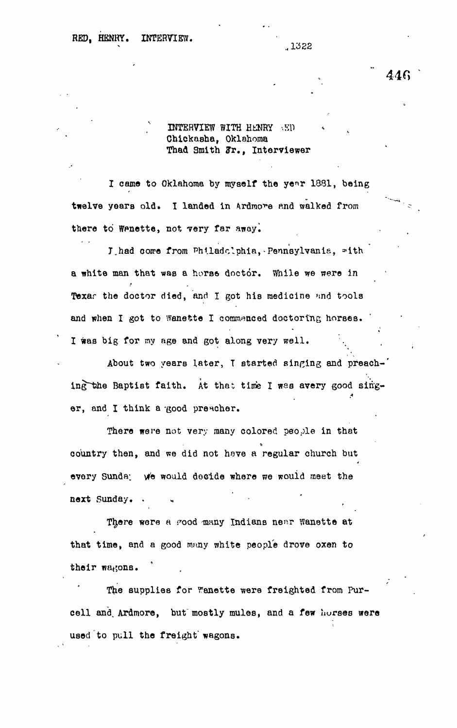44C

INTERVIEW WITH HENRY (ED) Chickasha, Oklahoma Thad Smith ffr., Interviewer

I came to Oklahoma by myself the yenr 1881, being twelve years old. I landed in Ardmore and walked from there to Wenette, not very far away.

J had come from Philadelphia, Pennsylvania, =ith a white man that was a horse doctor. While we were in Texar the doctor died, and I got his medicine and tools and when I got to wanette I commenced doctoring horses. I was big for my age and got along very well.

About two years later, I started singing and preach-' ing the Baptist faith. At that time I was avery good singer, and I think a good preacher.

There were not very many colored people in that  $\bullet$ country then, and we did not have a regular church but country then, and we did not hove a regular church but  $\epsilon$ every Sunda; we would decide where we would meet the next Sunday.

There were a good many Indians near Wanette at The results of the control of the pool of the pool of the pool of the pool of the pool of the pool of the pool that time, and a good many white people drove oxen to their wagons.

The supplies for Wanette were freighted from Purcell and Ardmore, but mostly mules, and a few horses were cell and. Ardmore, but" mostly mules, and a few nurses were used to pull the freight wagons.

used to pull the freight" wagons.